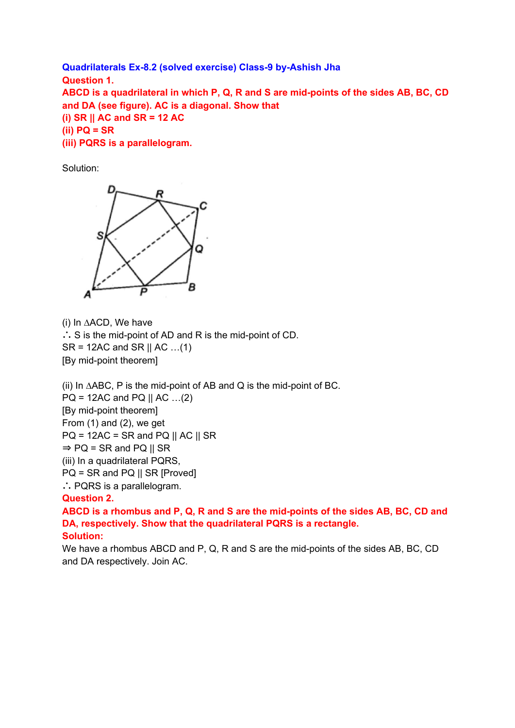**Quadrilaterals Ex-8.2 (solved exercise) Class-9 by-Ashish Jha Question 1. ABCD is a quadrilateral in which P, Q, R and S are mid-points of the sides AB, BC, CD and DA (see figure). AC is a diagonal. Show that (i) SR || AC and SR = 12 AC (ii) PQ = SR (iii) PQRS is a parallelogram.**

Solution:



(i) In ∆ACD, We have ∴ S is the mid-point of AD and R is the mid-point of CD.  $SR = 12AC$  and  $SR \parallel AC \dots (1)$ [By mid-point theorem]

(ii) In ∆ABC, P is the mid-point of AB and Q is the mid-point of BC.

 $PQ = 12AC$  and  $PQ || AC ... (2)$ 

[By mid-point theorem]

From (1) and (2), we get

 $PQ = 12AC = SR$  and  $PQ \parallel AC \parallel SR$ 

 $\Rightarrow$  PQ = SR and PQ || SR

(iii) In a quadrilateral PQRS,

PQ = SR and PQ || SR [Proved]

∴ PQRS is a parallelogram.

## **Question 2.**

**ABCD is a rhombus and P, Q, R and S are the mid-points of the sides AB, BC, CD and DA, respectively. Show that the quadrilateral PQRS is a rectangle. Solution:**

We have a rhombus ABCD and P, Q, R and S are the mid-points of the sides AB, BC, CD and DA respectively. Join AC.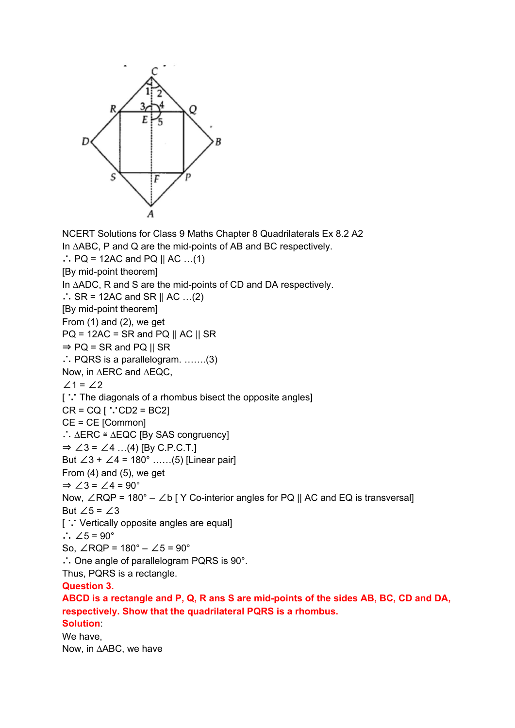

NCERT Solutions for Class 9 Maths Chapter 8 Quadrilaterals Ex 8.2 A2 In ∆ABC, P and Q are the mid-points of AB and BC respectively. ∴ PQ = 12AC and PQ || AC ...(1) [By mid-point theorem] In ∆ADC, R and S are the mid-points of CD and DA respectively. ∴ SR = 12AC and SR || AC ...(2) [By mid-point theorem] From (1) and (2), we get  $PQ = 12AC = SR$  and  $PQ \parallel AC \parallel SR$  $\Rightarrow$  PQ = SR and PQ || SR ∴ PQRS is a parallelogram. …….(3) Now, in ∆ERC and ∆EQC, ∠1 = ∠2 [ ∵ The diagonals of a rhombus bisect the opposite angles]  $CR = CQ$  [  $\because CD2 = BC2$ ] CE = CE [Common] ∴ ∆ERC ≅ ∆EQC [By SAS congruency] ⇒ ∠3 = ∠4 …(4) [By C.P.C.T.] But  $∠3 + ∠4 = 180°$  ......(5) [Linear pair] From (4) and (5), we get  $\Rightarrow$  ∠3 = ∠4 = 90° Now, ∠RQP = 180° – ∠b [ Y Co-interior angles for PQ || AC and EQ is transversal] But  $∠5 = ∠3$ [ ∵ Vertically opposite angles are equal] ∴  $\angle 5 = 90^\circ$ So,  $\angle$ RQP = 180 $^{\circ}$  –  $\angle$ 5 = 90 $^{\circ}$ ∴ One angle of parallelogram PQRS is 90°. Thus, PQRS is a rectangle. **Question 3. ABCD is a rectangle and P, Q, R ans S are mid-points of the sides AB, BC, CD and DA, respectively. Show that the quadrilateral PQRS is a rhombus. Solution**:

We have, Now, in ∆ABC, we have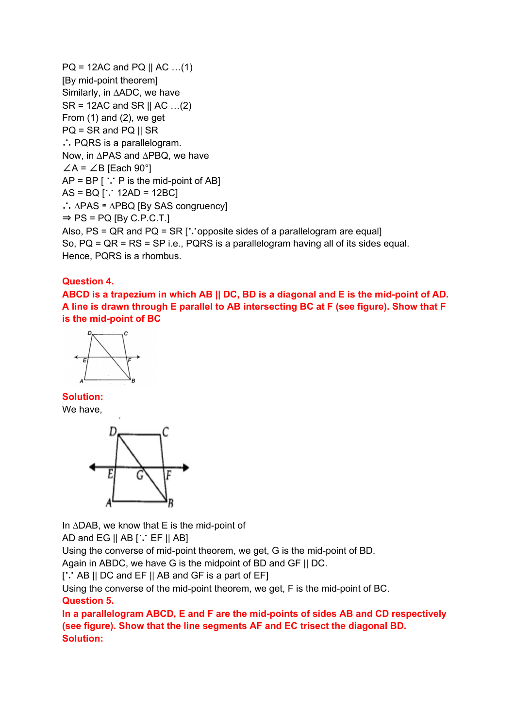```
PQ = 12AC and PQ || AC ... (1)[By mid-point theorem]
Similarly, in ∆ADC, we have
SR = 12AC and SR \parallel AC \dots (2)From (1) and (2), we get
PQ = SR and PQ \parallel SR∴ PQRS is a parallelogram.
Now, in ∆PAS and ∆PBQ, we have
∠A = ∠B [Each 90°]
AP = BP [ \because P is the mid-point of AB]
AS = BQ [∵ 12AD = 12BC]
∴ ∆PAS ≅ ∆PBQ [By SAS congruency]
\Rightarrow PS = PQ [By C.P.C.T.]
Also, PS = QR and PQ = SR [∵opposite sides of a parallelogram are equal]
So, PQ = QR = RS = SP i.e., PQRS is a parallelogram having all of its sides equal.
Hence, PQRS is a rhombus.
```
## **Question 4.**

ABCD is a trapezium in which AB || DC, BD is a diagonal and E is the mid-point of AD. **A line is drawn through E parallel to AB intersecting BC at F (see figure). Show that F is the mid-point of BC**



**Solution:** We have,



In ∆DAB, we know that E is the mid-point of

AD and EG  $||$  AB  $[$   $\cdot$  EF  $||$  AB]

Using the converse of mid-point theorem, we get, G is the mid-point of BD.

Again in ABDC, we have G is the midpoint of BD and GF || DC.

[∵ AB || DC and EF || AB and GF is a part of EF]

Using the converse of the mid-point theorem, we get, F is the mid-point of BC.

## **Question 5.**

**In a parallelogram ABCD, E and F are the mid-points of sides AB and CD respectively (see figure). Show that the line segments AF and EC trisect the diagonal BD. Solution:**